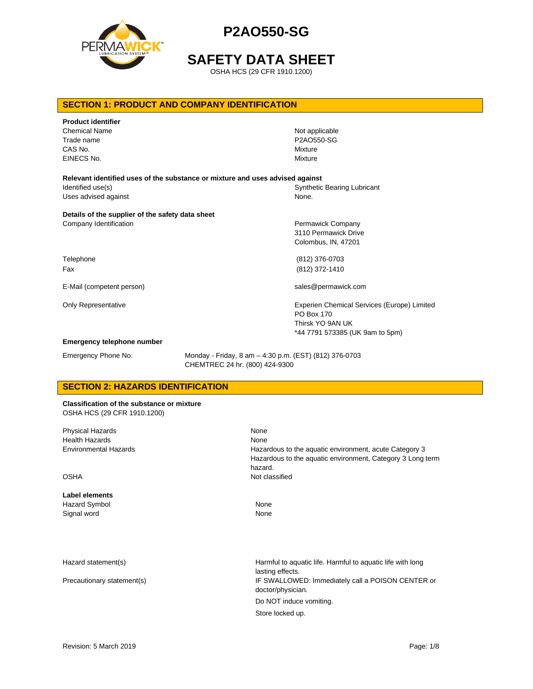

**SAFETY DATA SHEET**

OSHA HCS (29 CFR 1910.1200)

# **SECTION 1: PRODUCT AND COMPANY IDENTIFICATION**

| <b>Product identifier</b><br><b>Chemical Name</b><br>Trade name<br>CAS No.<br>EINECS No. | Not applicable<br>P2A0550-SG<br>Mixture<br>Mixture                            |
|------------------------------------------------------------------------------------------|-------------------------------------------------------------------------------|
| Relevant identified uses of the substance or mixture and uses advised against            |                                                                               |
| Identified use(s)                                                                        | <b>Synthetic Bearing Lubricant</b>                                            |
| Uses advised against                                                                     | None.                                                                         |
| Details of the supplier of the safety data sheet<br>Company Identification               | Permawick Company<br>3110 Permawick Drive<br>Colombus, IN, 47201              |
| Telephone                                                                                | (812) 376-0703                                                                |
| Fax                                                                                      | (812) 372-1410                                                                |
| E-Mail (competent person)                                                                | sales@permawick.com                                                           |
| <b>Only Representative</b>                                                               | Experien Chemical Services (Europe) Limited<br>PO Box 170<br>Thirsk YO 9AN UK |
|                                                                                          | *44 7791 573385 (UK 9am to 5pm)                                               |
| <b>Emergency telephone number</b>                                                        |                                                                               |

Emergency Phone No. Monday - Friday, 8 am – 4:30 p.m. (EST) (812) 376-0703 CHEMTREC 24 hr. (800) 424-9300

# **SECTION 2: HAZARDS IDENTIFICATION**

**Classification of the substance or mixture** OSHA HCS (29 CFR 1910.1200)

| <b>Physical Hazards</b><br><b>Health Hazards</b><br><b>Environmental Hazards</b> | None<br>None<br>Hazardous to the aquatic environment, acute Category 3<br>Hazardous to the aquatic environment, Category 3 Long term |
|----------------------------------------------------------------------------------|--------------------------------------------------------------------------------------------------------------------------------------|
| <b>OSHA</b>                                                                      | hazard.<br>Not classified                                                                                                            |
| Label elements                                                                   |                                                                                                                                      |
| <b>Hazard Symbol</b>                                                             | None                                                                                                                                 |
| Signal word                                                                      | None                                                                                                                                 |
|                                                                                  |                                                                                                                                      |
| Hazard statement(s)                                                              | Harmful to aquatic life. Harmful to aquatic life with long<br>lasting effects.                                                       |
| Precautionary statement(s)                                                       | IF SWALLOWED: Immediately call a POISON CENTER or<br>doctor/physician.                                                               |
|                                                                                  | Do NOT induce vomiting.                                                                                                              |
|                                                                                  | Store locked up.                                                                                                                     |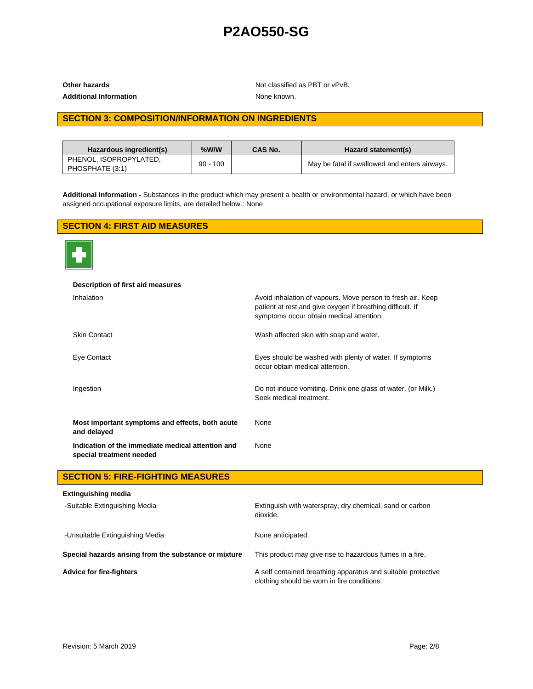Additional Information **None known**.

**Other hazards Other hazards Not classified as PBT or vPvB.** 

# **SECTION 3: COMPOSITION/INFORMATION ON INGREDIENTS**

| Hazardous ingredient(s)                   | %W/W       | <b>CAS No.</b> | Hazard statement(s)                           |
|-------------------------------------------|------------|----------------|-----------------------------------------------|
| PHENOL. ISOPROPYLATED.<br>PHOSPHATE (3:1) | $90 - 100$ |                | May be fatal if swallowed and enters airways. |

**Additional Information -** Substances in the product which may present a health or environmental hazard, or which have been assigned occupational exposure limits, are detailed below.: None

# **SECTION 4: FIRST AID MEASURES**



| Description of first aid measures                                             |                                                                                                                                                                       |
|-------------------------------------------------------------------------------|-----------------------------------------------------------------------------------------------------------------------------------------------------------------------|
| Inhalation                                                                    | Avoid inhalation of vapours. Move person to fresh air. Keep<br>patient at rest and give oxygen if breathing difficult. If<br>symptoms occur obtain medical attention. |
| <b>Skin Contact</b>                                                           | Wash affected skin with soap and water.                                                                                                                               |
| Eye Contact                                                                   | Eyes should be washed with plenty of water. If symptoms<br>occur obtain medical attention.                                                                            |
| Ingestion                                                                     | Do not induce vomiting. Drink one glass of water. (or Milk.)<br>Seek medical treatment.                                                                               |
| Most important symptoms and effects, both acute<br>and delayed                | None                                                                                                                                                                  |
| Indication of the immediate medical attention and<br>special treatment needed | None                                                                                                                                                                  |

# **SECTION 5: FIRE-FIGHTING MEASURES**

| <b>Extinguishing media</b>                            |                                                                                                             |
|-------------------------------------------------------|-------------------------------------------------------------------------------------------------------------|
| -Suitable Extinguishing Media                         | Extinguish with waterspray, dry chemical, sand or carbon<br>dioxide.                                        |
| -Unsuitable Extinguishing Media                       | None anticipated.                                                                                           |
| Special hazards arising from the substance or mixture | This product may give rise to hazardous fumes in a fire.                                                    |
| Advice for fire-fighters                              | A self contained breathing apparatus and suitable protective<br>clothing should be worn in fire conditions. |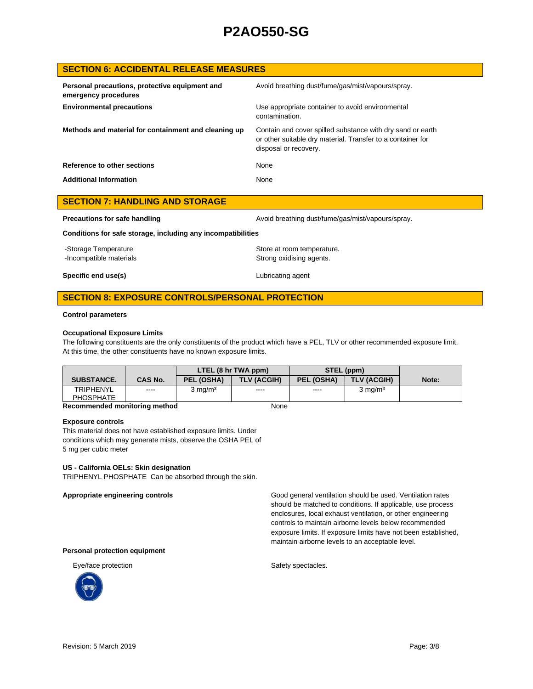# **SECTION 6: ACCIDENTAL RELEASE MEASURES**

| Personal precautions, protective equipment and<br>emergency procedures | Avoid breathing dust/fume/gas/mist/vapours/spray.                                                                                                  |
|------------------------------------------------------------------------|----------------------------------------------------------------------------------------------------------------------------------------------------|
| <b>Environmental precautions</b>                                       | Use appropriate container to avoid environmental<br>contamination.                                                                                 |
| Methods and material for containment and cleaning up                   | Contain and cover spilled substance with dry sand or earth<br>or other suitable dry material. Transfer to a container for<br>disposal or recovery. |
| Reference to other sections                                            | None                                                                                                                                               |
| <b>Additional Information</b>                                          | None                                                                                                                                               |

| <b>SECTION 7: HANDLING AND STORAGE</b>                       |                                                   |
|--------------------------------------------------------------|---------------------------------------------------|
| Precautions for safe handling                                | Avoid breathing dust/fume/gas/mist/vapours/spray. |
| Conditions for safe storage, including any incompatibilities |                                                   |
| Storago Tomporaturo                                          | Store at room tomporature                         |

-Storage Temperature  $\sim$  Store at room temperature. -Incompatible materials **Strong oxidising agents**. **Specific end use(s)** Lubricating agent

# **SECTION 8: EXPOSURE CONTROLS/PERSONAL PROTECTION**

### **Control parameters**

### **Occupational Exposure Limits**

The following constituents are the only constituents of the product which have a PEL, TLV or other recommended exposure limit. At this time, the other constituents have no known exposure limits.

|                                                                    |                | LTEL (8 hr TWA ppm) |                    | STEL (ppm) |                    |       |
|--------------------------------------------------------------------|----------------|---------------------|--------------------|------------|--------------------|-------|
| <b>SUBSTANCE.</b>                                                  | <b>CAS No.</b> | PEL (OSHA)          | <b>TLV (ACGIH)</b> | PEL (OSHA) | <b>TLV (ACGIH)</b> | Note: |
| <b>TRIPHENYL</b>                                                   | $\frac{1}{2}$  | $3 \text{ mg/m}^3$  | ----               | $\cdots$   | $3 \text{ ma/m}^3$ |       |
| <b>PHOSPHATE</b>                                                   |                |                     |                    |            |                    |       |
| The concernsion that the contractions are officered.<br><b>A I</b> |                |                     |                    |            |                    |       |

### **Recommended monitoring method** None

### **Exposure controls**

This material does not have established exposure limits. Under conditions which may generate mists, observe the OSHA PEL of 5 mg per cubic meter

### **US - California OELs: Skin designation**

TRIPHENYL PHOSPHATE Can be absorbed through the skin.

**Appropriate engineering controls** Good general ventilation should be used. Ventilation rates should be matched to conditions. If applicable, use process enclosures, local exhaust ventilation, or other engineering controls to maintain airborne levels below recommended exposure limits. If exposure limits have not been established, maintain airborne levels to an acceptable level.

#### **Personal protection equipment**



Eye/face protection states and states of the Safety spectacles.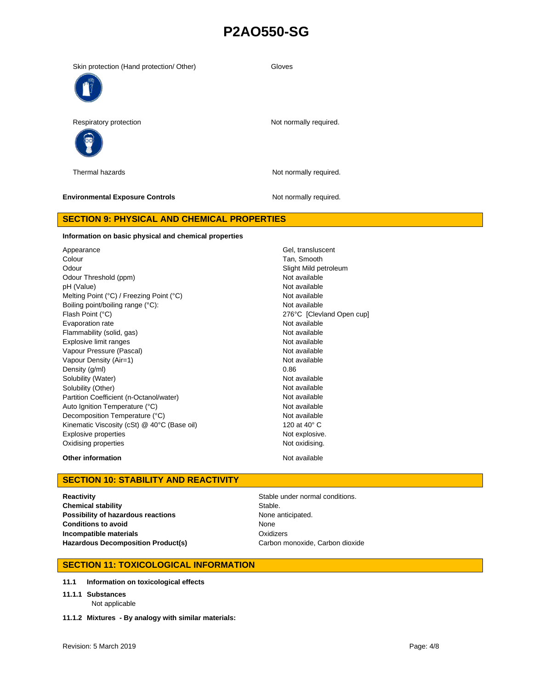| Respiratory protection                 | Not normally required. |
|----------------------------------------|------------------------|
| Thermal hazards                        | Not normally required. |
| <b>Environmental Exposure Controls</b> | Not normally required. |

Skin protection (Hand protection/ Other) Gloves

# **SECTION 9: PHYSICAL AND CHEMICAL PROPERTIES**

#### **Information on basic physical and chemical properties**

Appearance Gel, transluscent Cel, transluscent Cel, transluscent Colour **Tan, Smooth** Odour **Slight Mild petroleum** Slight Mild petroleum Odour Threshold (ppm) Not available pH (Value) Not available Melting Point (°C) / Freezing Point (°C) Not available Boiling point/boiling range (°C): Not available Flash Point (°C) 276°C [Clevland Open cup] Evaporation rate **Not available** Not available Flammability (solid, gas) Not available and the state of the state of the state of the state of the state of the state of the state of the state of the state of the state of the state of the state of the state of the state Explosive limit ranges Not available Not available Vapour Pressure (Pascal) Not available Not available Vapour Density (Air=1) Not available Not available Density  $(g/m)$  0.86 Solubility (Water) Not available Solubility (Other) Not available Partition Coefficient (n-Octanol/water) Not available Auto Ignition Temperature (°C) Not available Decomposition Temperature (°C) Not available Kinematic Viscosity (cSt) @ 40°C (Base oil) 120 at 40° C Explosive properties Not explosive. Oxidising properties **Not oxidising** properties Not oxidising.

## **Other information** and the contract of the contract of the Not available

## **SECTION 10: STABILITY AND REACTIVITY**

**Reactivity Reactivity Stable under normal conditions. Chemical stability** Stable. **Possibility of hazardous reactions** None anticipated. **Conditions to avoid Incompatible materials Hazardous Decomposition Product(s)** Carbon monoxide, Carbon dioxide

None **Oxidizers** 

# **SECTION 11: TOXICOLOGICAL INFORMATION**

- **11.1 Information on toxicological effects**
- **11.1.1 Substances** Not applicable
- **11.1.2 Mixtures - By analogy with similar materials:**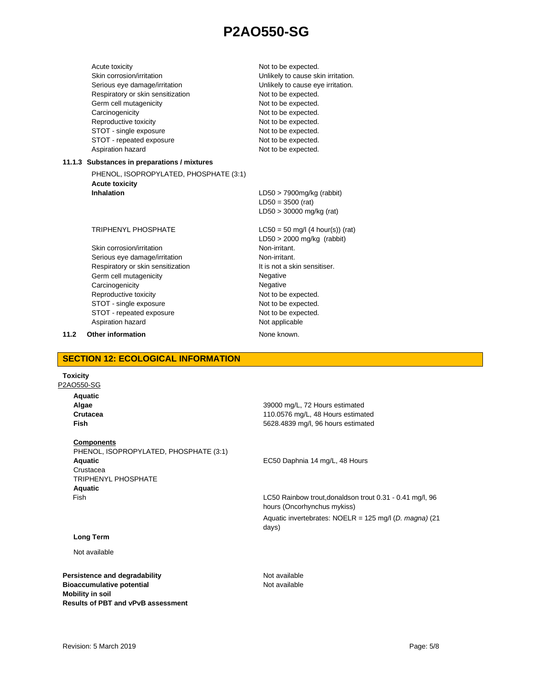| Acute toxicity<br>Skin corrosion/irritation<br>Serious eye damage/irritation<br>Respiratory or skin sensitization<br>Germ cell mutagenicity<br>Carcinogenicity<br>Reproductive toxicity<br>STOT - single exposure<br>STOT - repeated exposure<br>Aspiration hazard | Not to be expected.<br>Unlikely to cause skin irritation.<br>Unlikely to cause eye irritation.<br>Not to be expected.<br>Not to be expected.<br>Not to be expected.<br>Not to be expected.<br>Not to be expected.<br>Not to be expected.<br>Not to be expected. |
|--------------------------------------------------------------------------------------------------------------------------------------------------------------------------------------------------------------------------------------------------------------------|-----------------------------------------------------------------------------------------------------------------------------------------------------------------------------------------------------------------------------------------------------------------|
| 11.1.3 Substances in preparations / mixtures                                                                                                                                                                                                                       |                                                                                                                                                                                                                                                                 |
| PHENOL, ISOPROPYLATED, PHOSPHATE (3:1)                                                                                                                                                                                                                             |                                                                                                                                                                                                                                                                 |
| <b>Acute toxicity</b>                                                                                                                                                                                                                                              |                                                                                                                                                                                                                                                                 |
| Inhalation                                                                                                                                                                                                                                                         | $LD50 > 7900mg/kg$ (rabbit)                                                                                                                                                                                                                                     |
|                                                                                                                                                                                                                                                                    | $LD50 = 3500$ (rat)                                                                                                                                                                                                                                             |
|                                                                                                                                                                                                                                                                    | $LD50 > 30000$ mg/kg (rat)                                                                                                                                                                                                                                      |
| <b>TRIPHENYL PHOSPHATE</b>                                                                                                                                                                                                                                         | $LC50 = 50$ mg/l (4 hour(s)) (rat)                                                                                                                                                                                                                              |
|                                                                                                                                                                                                                                                                    | $LD50 > 2000$ mg/kg (rabbit)                                                                                                                                                                                                                                    |
| Skin corrosion/irritation                                                                                                                                                                                                                                          | Non-irritant.                                                                                                                                                                                                                                                   |
| Serious eye damage/irritation                                                                                                                                                                                                                                      | Non-irritant                                                                                                                                                                                                                                                    |
| Respiratory or skin sensitization                                                                                                                                                                                                                                  | It is not a skin sensitiser.                                                                                                                                                                                                                                    |
| Germ cell mutagenicity                                                                                                                                                                                                                                             | Negative                                                                                                                                                                                                                                                        |
| Carcinogenicity                                                                                                                                                                                                                                                    | Negative                                                                                                                                                                                                                                                        |
| Reproductive toxicity                                                                                                                                                                                                                                              | Not to be expected.                                                                                                                                                                                                                                             |
| STOT - single exposure                                                                                                                                                                                                                                             | Not to be expected.                                                                                                                                                                                                                                             |
| STOT - repeated exposure<br>Aspiration hazard                                                                                                                                                                                                                      | Not to be expected.<br>Not applicable                                                                                                                                                                                                                           |
|                                                                                                                                                                                                                                                                    |                                                                                                                                                                                                                                                                 |

**11.2 Other information** None known.

**SECTION 12: ECOLOGICAL INFORMATION**

# **Toxicity**

P2AO550-SG

**Aquatic Algae Crutacea Fish**

### **Components**

PHENOL, ISOPROPYLATED, PHOSPHATE (3:1) **Aquatic** Crustacea TRIPHENYL PHOSPHATE **Aquatic** Fish

# **Long Term**

### Not available

**Persistence and degradability** Not available **Bioaccumulative potential Mobility in soil Results of PBT and vPvB assessment**

39000 mg/L, 72 Hours estimated 110.0576 mg/L, 48 Hours estimated 5628.4839 mg/l, 96 hours estimated

EC50 Daphnia 14 mg/L, 48 Hours

LC50 Rainbow trout,donaldson trout 0.31 - 0.41 mg/l, 96 hours (Oncorhynchus mykiss) Aquatic invertebrates: NOELR = 125 mg/l (*D. magna)* (21 days)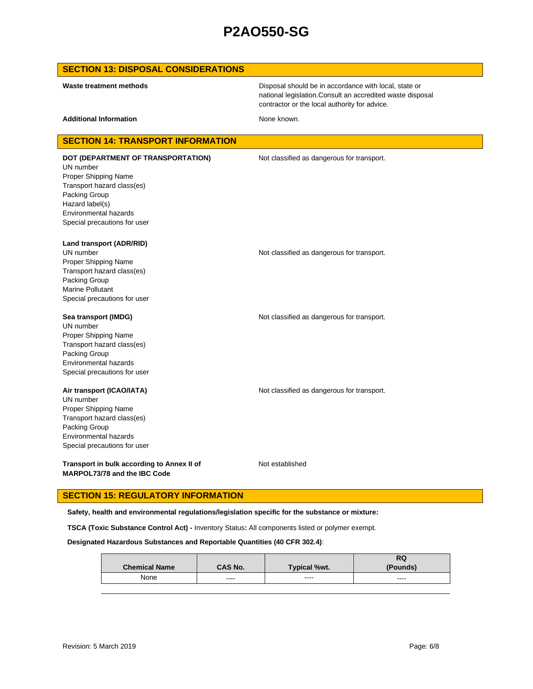| <b>SECTION 13: DISPOSAL CONSIDERATIONS</b>                                                                                                                                                         |                                                                                                                                                                      |
|----------------------------------------------------------------------------------------------------------------------------------------------------------------------------------------------------|----------------------------------------------------------------------------------------------------------------------------------------------------------------------|
| Waste treatment methods                                                                                                                                                                            | Disposal should be in accordance with local, state or<br>national legislation. Consult an accredited waste disposal<br>contractor or the local authority for advice. |
| <b>Additional Information</b>                                                                                                                                                                      | None known.                                                                                                                                                          |
| <b>SECTION 14: TRANSPORT INFORMATION</b>                                                                                                                                                           |                                                                                                                                                                      |
| DOT (DEPARTMENT OF TRANSPORTATION)<br>UN number<br>Proper Shipping Name<br>Transport hazard class(es)<br>Packing Group<br>Hazard label(s)<br>Environmental hazards<br>Special precautions for user | Not classified as dangerous for transport.                                                                                                                           |
| Land transport (ADR/RID)<br>UN number<br>Proper Shipping Name<br>Transport hazard class(es)<br>Packing Group<br><b>Marine Pollutant</b><br>Special precautions for user                            | Not classified as dangerous for transport.                                                                                                                           |
| Sea transport (IMDG)<br>UN number<br>Proper Shipping Name<br>Transport hazard class(es)<br>Packing Group<br>Environmental hazards<br>Special precautions for user                                  | Not classified as dangerous for transport.                                                                                                                           |
| Air transport (ICAO/IATA)<br>UN number<br>Proper Shipping Name<br>Transport hazard class(es)<br>Packing Group<br>Environmental hazards<br>Special precautions for user                             | Not classified as dangerous for transport.                                                                                                                           |
| Transport in bulk according to Annex II of<br>MARPOL73/78 and the IBC Code                                                                                                                         | Not established                                                                                                                                                      |

# **SECTION 15: REGULATORY INFORMATION**

**Safety, health and environmental regulations/legislation specific for the substance or mixture:**

**TSCA (Toxic Substance Control Act) -** Inventory Status**:** All components listed or polymer exempt.

**Designated Hazardous Substances and Reportable Quantities (40 CFR 302.4)**:

|                      |                |                     | RQ              |
|----------------------|----------------|---------------------|-----------------|
| <b>Chemical Name</b> | <b>CAS No.</b> | <b>Typical %wt.</b> | <b>(Pounds)</b> |
| None                 | $\cdots$       | ----                | ----            |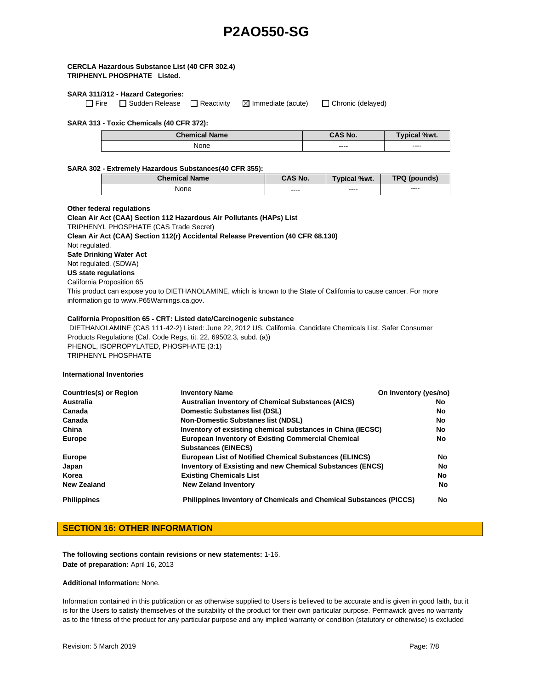### **CERCLA Hazardous Substance List (40 CFR 302.4) TRIPHENYL PHOSPHATE Listed.**

#### **SARA 311/312 - Hazard Categories:**

 $\Box$  Fire  $\Box$  Sudden Release  $\Box$  Reactivity  $\Box$  Immediate (acute)  $\Box$  Chronic (delayed)

#### **SARA 313 - Toxic Chemicals (40 CFR 372):**

| <b>Chemical Name</b> | $\cap$ AS No. | $\%wt$ .               |
|----------------------|---------------|------------------------|
| None                 | ----<br>____  | $\frac{1}{2}$<br>----- |

#### **SARA 302 - Extremely Hazardous Substances(40 CFR 355):**

| <b>Chemical Name</b> | CAS No.       | <b>Typical %wt.</b> | <b>TPQ (pounds)</b> |
|----------------------|---------------|---------------------|---------------------|
| None                 | ----<br>----- | ----                | ----                |

#### **Other federal regulations**

**Clean Air Act (CAA) Section 112 Hazardous Air Pollutants (HAPs) List**  TRIPHENYL PHOSPHATE (CAS Trade Secret) **Clean Air Act (CAA) Section 112(r) Accidental Release Prevention (40 CFR 68.130)**  Not regulated. **Safe Drinking Water Act** Not regulated. (SDWA) **US state regulations**  California Proposition 65

This product can expose you to DIETHANOLAMINE, which is known to the State of California to cause cancer. For more information go to www.P65Warnings.ca.gov.

#### **California Proposition 65 - CRT: Listed date/Carcinogenic substance**

DIETHANOLAMINE (CAS 111-42-2) Listed: June 22, 2012 US. California. Candidate Chemicals List. Safer Consumer Products Regulations (Cal. Code Regs, tit. 22, 69502.3, subd. (a)) PHENOL, ISOPROPYLATED, PHOSPHATE (3:1) TRIPHENYL PHOSPHATE

#### **International Inventories**

| <b>Countries(s) or Region</b> | <b>Inventory Name</b>                                                                   | On Inventory (yes/no) |
|-------------------------------|-----------------------------------------------------------------------------------------|-----------------------|
| Australia                     | <b>Australian Inventory of Chemical Substances (AICS)</b>                               | No.                   |
| Canada                        | <b>Domestic Substanes list (DSL)</b>                                                    | No.                   |
| Canada                        | <b>Non-Domestic Substanes list (NDSL)</b>                                               | No                    |
| China                         | Inventory of exsisting chemical substances in China (IECSC)                             | No                    |
| <b>Europe</b>                 | <b>European Inventory of Existing Commercial Chemical</b><br><b>Substances (EINECS)</b> | No                    |
| <b>Europe</b>                 | <b>European List of Notified Chemical Substances (ELINCS)</b>                           | No.                   |
| Japan                         | Inventory of Exsisting and new Chemical Substances (ENCS)                               | No.                   |
| Korea                         | <b>Existing Chemicals List</b>                                                          | <b>No</b>             |
| New Zealand                   | <b>New Zeland Inventory</b>                                                             | No.                   |
| <b>Philippines</b>            | <b>Philippines Inventory of Chemicals and Chemical Substances (PICCS)</b>               | No.                   |

# **SECTION 16: OTHER INFORMATION**

**The following sections contain revisions or new statements:** 1-16. **Date of preparation:** April 16, 2013

#### **Additional Information:** None.

Information contained in this publication or as otherwise supplied to Users is believed to be accurate and is given in good faith, but it is for the Users to satisfy themselves of the suitability of the product for their own particular purpose. Permawick gives no warranty as to the fitness of the product for any particular purpose and any implied warranty or condition (statutory or otherwise) is excluded